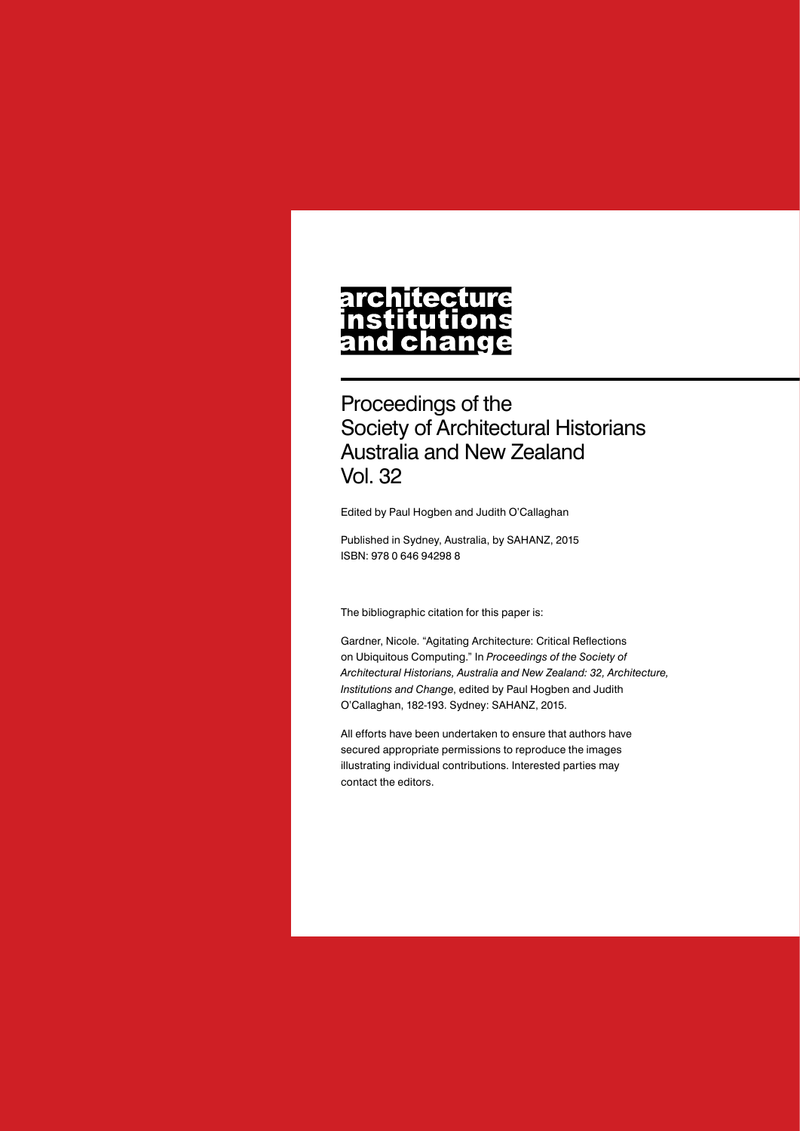# architecture nstitutions<br>and change

Proceedings of the Society of Architectural Historians Australia and New Zealand Vol. 32

Edited by Paul Hogben and Judith O'Callaghan

Published in Sydney, Australia, by SAHANZ, 2015 ISBN: 978 0 646 94298 8

The bibliographic citation for this paper is:

Gardner, Nicole. "Agitating Architecture: Critical Reflections on Ubiquitous Computing." In *Proceedings of the Society of Architectural Historians, Australia and New Zealand: 32, Architecture, Institutions and Change*, edited by Paul Hogben and Judith O'Callaghan, 182-193. Sydney: SAHANZ, 2015.

All efforts have been undertaken to ensure that authors have secured appropriate permissions to reproduce the images illustrating individual contributions. Interested parties may contact the editors.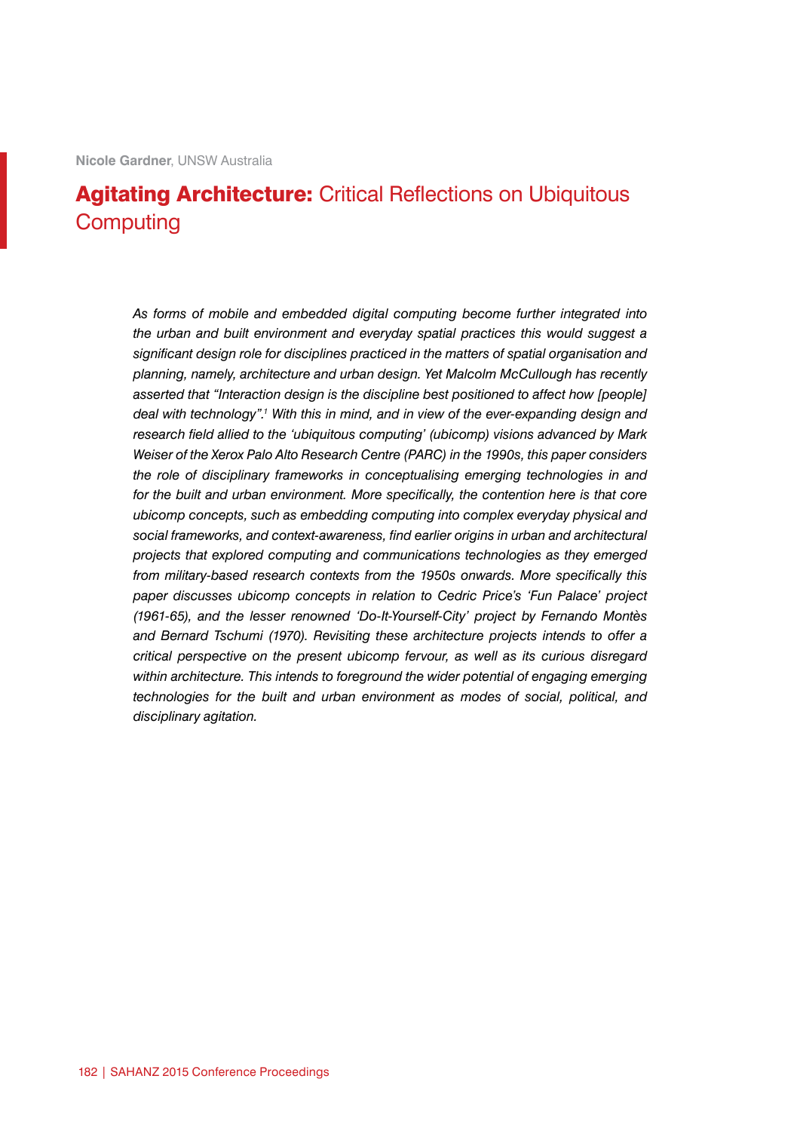**Nicole Gardner**, UNSW Australia

## Agitating Architecture: Critical Reflections on Ubiquitous **Computing**

*As forms of mobile and embedded digital computing become further integrated into the urban and built environment and everyday spatial practices this would suggest a significant design role for disciplines practiced in the matters of spatial organisation and planning, namely, architecture and urban design. Yet Malcolm McCullough has recently asserted that "Interaction design is the discipline best positioned to affect how [people]*  deal with technology".<sup>1</sup> With this in mind, and in view of the ever-expanding design and *research field allied to the 'ubiquitous computing' (ubicomp) visions advanced by Mark Weiser of the Xerox Palo Alto Research Centre (PARC) in the 1990s, this paper considers the role of disciplinary frameworks in conceptualising emerging technologies in and*  for the built and urban environment. More specifically, the contention here is that core *ubicomp concepts, such as embedding computing into complex everyday physical and social frameworks, and context-awareness, find earlier origins in urban and architectural projects that explored computing and communications technologies as they emerged from military-based research contexts from the 1950s onwards. More specifically this paper discusses ubicomp concepts in relation to Cedric Price's 'Fun Palace' project (1961-65), and the lesser renowned 'Do-It-Yourself-City' project by Fernando Montès and Bernard Tschumi (1970). Revisiting these architecture projects intends to offer a critical perspective on the present ubicomp fervour, as well as its curious disregard*  within architecture. This intends to foreground the wider potential of engaging emerging *technologies for the built and urban environment as modes of social, political, and disciplinary agitation.*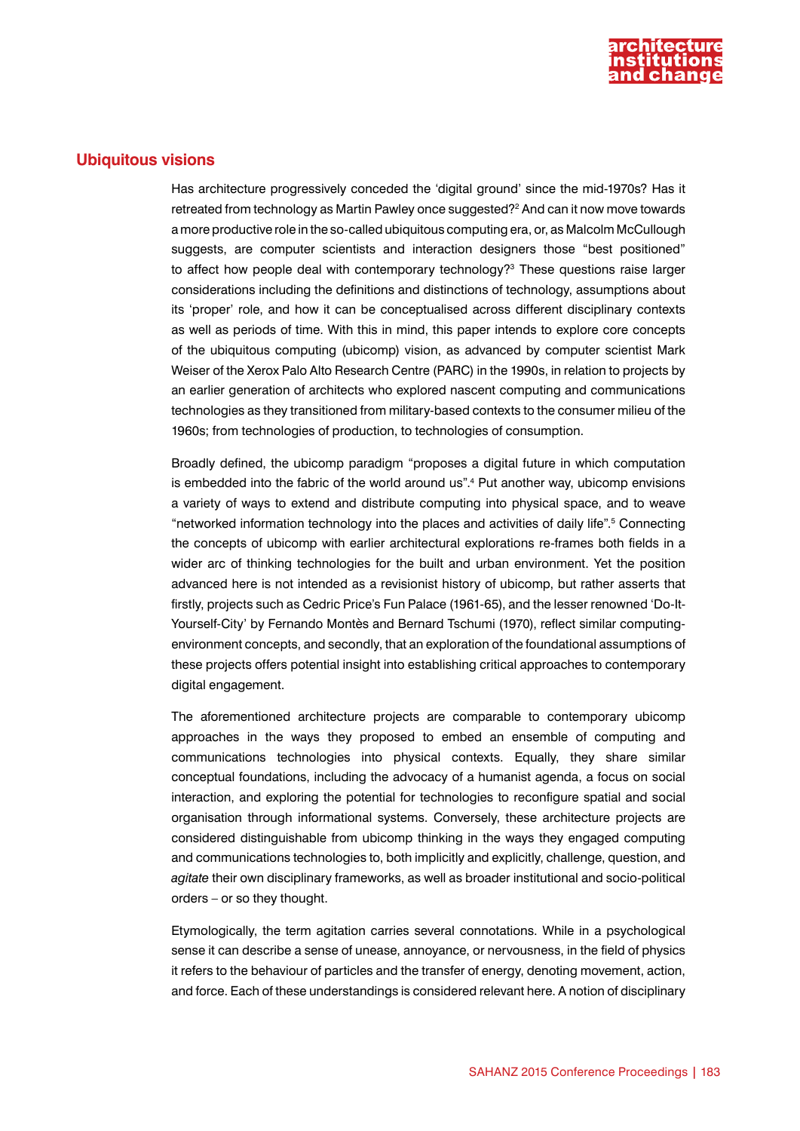

#### **Ubiquitous visions**

Has architecture progressively conceded the 'digital ground' since the mid-1970s? Has it retreated from technology as Martin Pawley once suggested?2 And can it now move towards a more productive role in the so-called ubiquitous computing era, or, as Malcolm McCullough suggests, are computer scientists and interaction designers those "best positioned" to affect how people deal with contemporary technology?<sup>3</sup> These questions raise larger considerations including the definitions and distinctions of technology, assumptions about its 'proper' role, and how it can be conceptualised across different disciplinary contexts as well as periods of time. With this in mind, this paper intends to explore core concepts of the ubiquitous computing (ubicomp) vision, as advanced by computer scientist Mark Weiser of the Xerox Palo Alto Research Centre (PARC) in the 1990s, in relation to projects by an earlier generation of architects who explored nascent computing and communications technologies as they transitioned from military-based contexts to the consumer milieu of the 1960s; from technologies of production, to technologies of consumption.

Broadly defined, the ubicomp paradigm "proposes a digital future in which computation is embedded into the fabric of the world around us".4 Put another way, ubicomp envisions a variety of ways to extend and distribute computing into physical space, and to weave "networked information technology into the places and activities of daily life".<sup>5</sup> Connecting the concepts of ubicomp with earlier architectural explorations re-frames both fields in a wider arc of thinking technologies for the built and urban environment. Yet the position advanced here is not intended as a revisionist history of ubicomp, but rather asserts that firstly, projects such as Cedric Price's Fun Palace (1961-65), and the lesser renowned 'Do-It-Yourself-City' by Fernando Montès and Bernard Tschumi (1970), reflect similar computingenvironment concepts, and secondly, that an exploration of the foundational assumptions of these projects offers potential insight into establishing critical approaches to contemporary digital engagement.

The aforementioned architecture projects are comparable to contemporary ubicomp approaches in the ways they proposed to embed an ensemble of computing and communications technologies into physical contexts. Equally, they share similar conceptual foundations, including the advocacy of a humanist agenda, a focus on social interaction, and exploring the potential for technologies to reconfigure spatial and social organisation through informational systems. Conversely, these architecture projects are considered distinguishable from ubicomp thinking in the ways they engaged computing and communications technologies to, both implicitly and explicitly, challenge, question, and *agitate* their own disciplinary frameworks, as well as broader institutional and socio-political orders – or so they thought.

Etymologically, the term agitation carries several connotations. While in a psychological sense it can describe a sense of unease, annoyance, or nervousness, in the field of physics it refers to the behaviour of particles and the transfer of energy, denoting movement, action, and force. Each of these understandings is considered relevant here. A notion of disciplinary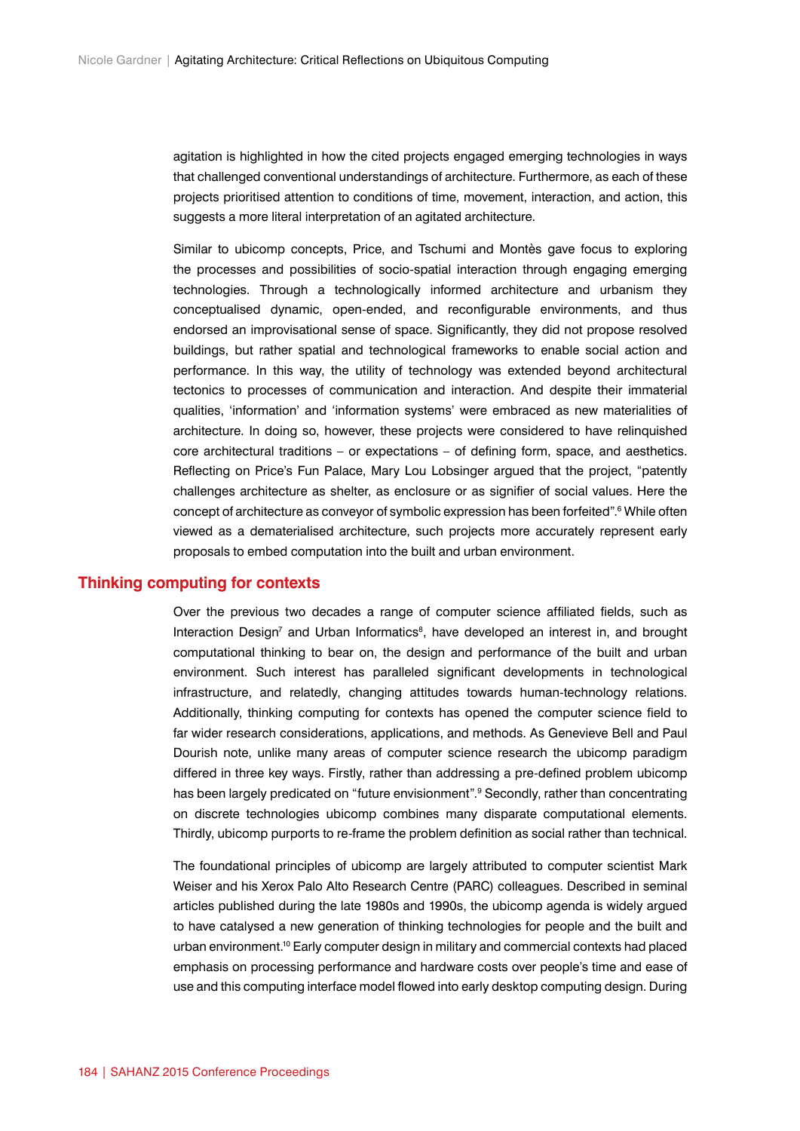agitation is highlighted in how the cited projects engaged emerging technologies in ways that challenged conventional understandings of architecture. Furthermore, as each of these projects prioritised attention to conditions of time, movement, interaction, and action, this suggests a more literal interpretation of an agitated architecture.

Similar to ubicomp concepts, Price, and Tschumi and Montès gave focus to exploring the processes and possibilities of socio-spatial interaction through engaging emerging technologies. Through a technologically informed architecture and urbanism they conceptualised dynamic, open-ended, and reconfigurable environments, and thus endorsed an improvisational sense of space. Significantly, they did not propose resolved buildings, but rather spatial and technological frameworks to enable social action and performance. In this way, the utility of technology was extended beyond architectural tectonics to processes of communication and interaction. And despite their immaterial qualities, 'information' and 'information systems' were embraced as new materialities of architecture. In doing so, however, these projects were considered to have relinquished core architectural traditions – or expectations – of defining form, space, and aesthetics. Reflecting on Price's Fun Palace, Mary Lou Lobsinger argued that the project, "patently challenges architecture as shelter, as enclosure or as signifier of social values. Here the concept of architecture as conveyor of symbolic expression has been forfeited".<sup>6</sup> While often viewed as a dematerialised architecture, such projects more accurately represent early proposals to embed computation into the built and urban environment.

#### **Thinking computing for contexts**

Over the previous two decades a range of computer science affiliated fields, such as Interaction Design<sup>7</sup> and Urban Informatics<sup>8</sup>, have developed an interest in, and brought computational thinking to bear on, the design and performance of the built and urban environment. Such interest has paralleled significant developments in technological infrastructure, and relatedly, changing attitudes towards human-technology relations. Additionally, thinking computing for contexts has opened the computer science field to far wider research considerations, applications, and methods. As Genevieve Bell and Paul Dourish note, unlike many areas of computer science research the ubicomp paradigm differed in three key ways. Firstly, rather than addressing a pre-defined problem ubicomp has been largely predicated on "future envisionment".<sup>9</sup> Secondly, rather than concentrating on discrete technologies ubicomp combines many disparate computational elements. Thirdly, ubicomp purports to re-frame the problem definition as social rather than technical.

The foundational principles of ubicomp are largely attributed to computer scientist Mark Weiser and his Xerox Palo Alto Research Centre (PARC) colleagues. Described in seminal articles published during the late 1980s and 1990s, the ubicomp agenda is widely argued to have catalysed a new generation of thinking technologies for people and the built and urban environment.10 Early computer design in military and commercial contexts had placed emphasis on processing performance and hardware costs over people's time and ease of use and this computing interface model flowed into early desktop computing design. During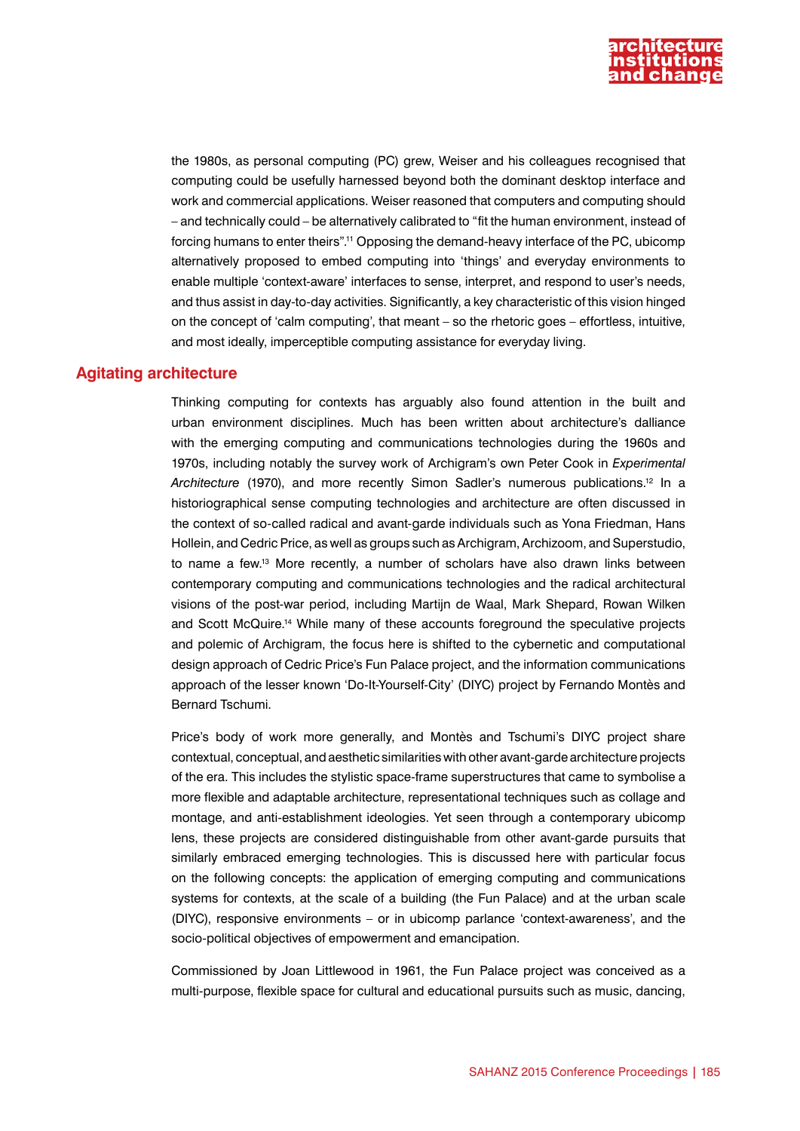

the 1980s, as personal computing (PC) grew, Weiser and his colleagues recognised that computing could be usefully harnessed beyond both the dominant desktop interface and work and commercial applications. Weiser reasoned that computers and computing should – and technically could – be alternatively calibrated to "fit the human environment, instead of forcing humans to enter theirs".11 Opposing the demand-heavy interface of the PC, ubicomp alternatively proposed to embed computing into 'things' and everyday environments to enable multiple 'context-aware' interfaces to sense, interpret, and respond to user's needs, and thus assist in day-to-day activities. Significantly, a key characteristic of this vision hinged on the concept of 'calm computing', that meant – so the rhetoric goes – effortless, intuitive, and most ideally, imperceptible computing assistance for everyday living.

#### **Agitating architecture**

Thinking computing for contexts has arguably also found attention in the built and urban environment disciplines. Much has been written about architecture's dalliance with the emerging computing and communications technologies during the 1960s and 1970s, including notably the survey work of Archigram's own Peter Cook in *Experimental Architecture* (1970), and more recently Simon Sadler's numerous publications.12 In a historiographical sense computing technologies and architecture are often discussed in the context of so-called radical and avant-garde individuals such as Yona Friedman, Hans Hollein, and Cedric Price, as well as groups such as Archigram, Archizoom, and Superstudio, to name a few.13 More recently, a number of scholars have also drawn links between contemporary computing and communications technologies and the radical architectural visions of the post-war period, including Martijn de Waal, Mark Shepard, Rowan Wilken and Scott McQuire.<sup>14</sup> While many of these accounts foreground the speculative projects and polemic of Archigram, the focus here is shifted to the cybernetic and computational design approach of Cedric Price's Fun Palace project, and the information communications approach of the lesser known 'Do-It-Yourself-City' (DIYC) project by Fernando Montès and Bernard Tschumi.

Price's body of work more generally, and Montès and Tschumi's DIYC project share contextual, conceptual, and aesthetic similarities with other avant-garde architecture projects of the era. This includes the stylistic space-frame superstructures that came to symbolise a more flexible and adaptable architecture, representational techniques such as collage and montage, and anti-establishment ideologies. Yet seen through a contemporary ubicomp lens, these projects are considered distinguishable from other avant-garde pursuits that similarly embraced emerging technologies. This is discussed here with particular focus on the following concepts: the application of emerging computing and communications systems for contexts, at the scale of a building (the Fun Palace) and at the urban scale (DIYC), responsive environments – or in ubicomp parlance 'context-awareness', and the socio-political objectives of empowerment and emancipation.

Commissioned by Joan Littlewood in 1961, the Fun Palace project was conceived as a multi-purpose, flexible space for cultural and educational pursuits such as music, dancing,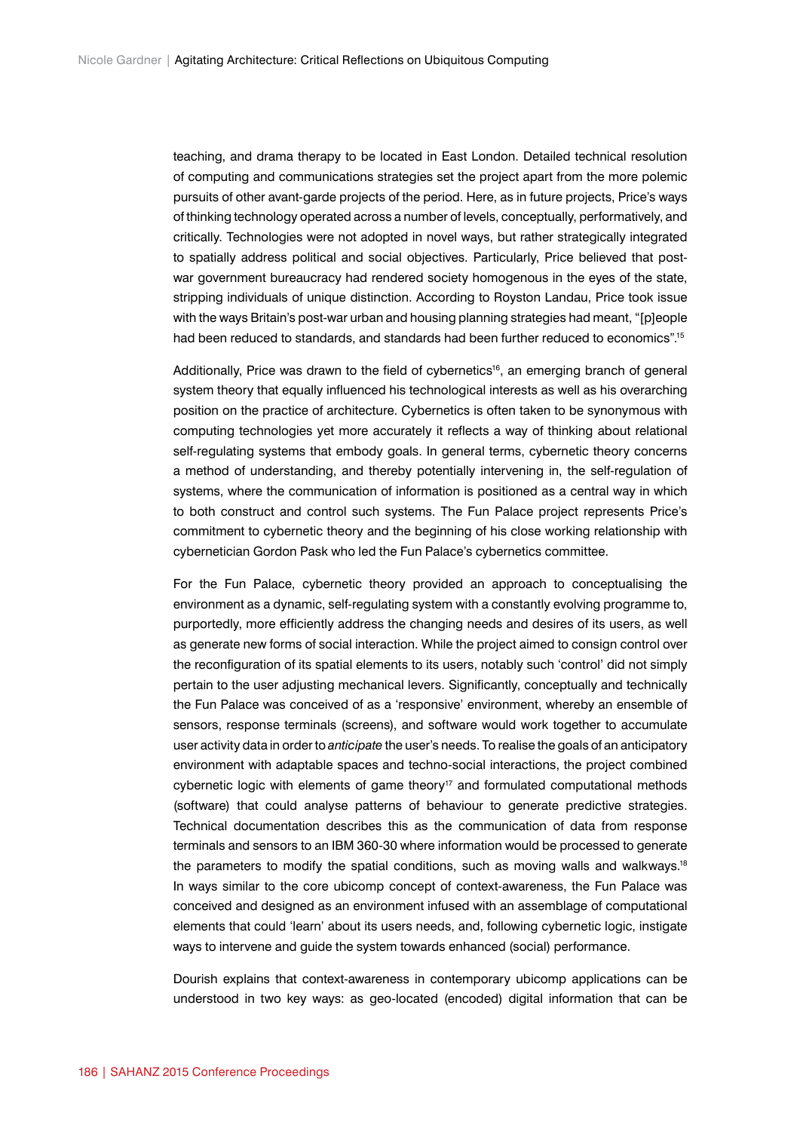teaching, and drama therapy to be located in East London. Detailed technical resolution of computing and communications strategies set the project apart from the more polemic pursuits of other avant-garde projects of the period. Here, as in future projects, Price's ways of thinking technology operated across a number of levels, conceptually, performatively, and critically. Technologies were not adopted in novel ways, but rather strategically integrated to spatially address political and social objectives. Particularly, Price believed that postwar government bureaucracy had rendered society homogenous in the eyes of the state, stripping individuals of unique distinction. According to Royston Landau, Price took issue with the ways Britain's post-war urban and housing planning strategies had meant, "[p]eople had been reduced to standards, and standards had been further reduced to economics".<sup>15</sup>

Additionally, Price was drawn to the field of cybernetics<sup>16</sup>, an emerging branch of general system theory that equally influenced his technological interests as well as his overarching position on the practice of architecture. Cybernetics is often taken to be synonymous with computing technologies yet more accurately it reflects a way of thinking about relational self-regulating systems that embody goals. In general terms, cybernetic theory concerns a method of understanding, and thereby potentially intervening in, the self-regulation of systems, where the communication of information is positioned as a central way in which to both construct and control such systems. The Fun Palace project represents Price's commitment to cybernetic theory and the beginning of his close working relationship with cybernetician Gordon Pask who led the Fun Palace's cybernetics committee.

For the Fun Palace, cybernetic theory provided an approach to conceptualising the environment as a dynamic, self-regulating system with a constantly evolving programme to, purportedly, more efficiently address the changing needs and desires of its users, as well as generate new forms of social interaction. While the project aimed to consign control over the reconfiguration of its spatial elements to its users, notably such 'control' did not simply pertain to the user adjusting mechanical levers. Significantly, conceptually and technically the Fun Palace was conceived of as a 'responsive' environment, whereby an ensemble of sensors, response terminals (screens), and software would work together to accumulate user activity data in order to *anticipate* the user's needs. To realise the goals of an anticipatory environment with adaptable spaces and techno-social interactions, the project combined  $cy$  bernetic logic with elements of game theory<sup>17</sup> and formulated computational methods (software) that could analyse patterns of behaviour to generate predictive strategies. Technical documentation describes this as the communication of data from response terminals and sensors to an IBM 360-30 where information would be processed to generate the parameters to modify the spatial conditions, such as moving walls and walkways.<sup>18</sup> In ways similar to the core ubicomp concept of context-awareness, the Fun Palace was conceived and designed as an environment infused with an assemblage of computational elements that could 'learn' about its users needs, and, following cybernetic logic, instigate ways to intervene and guide the system towards enhanced (social) performance.

Dourish explains that context-awareness in contemporary ubicomp applications can be understood in two key ways: as geo-located (encoded) digital information that can be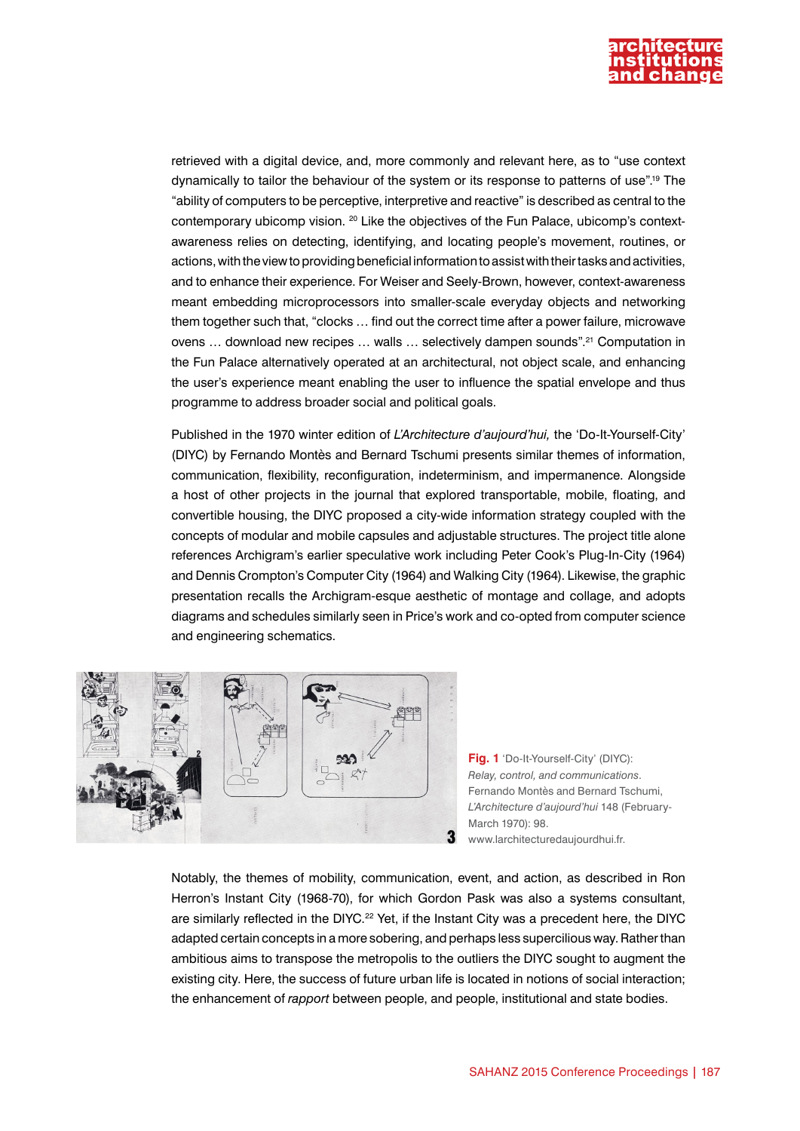

retrieved with a digital device, and, more commonly and relevant here, as to "use context dynamically to tailor the behaviour of the system or its response to patterns of use".19 The "ability of computers to be perceptive, interpretive and reactive" is described as central to the contemporary ubicomp vision. <sup>20</sup> Like the objectives of the Fun Palace, ubicomp's contextawareness relies on detecting, identifying, and locating people's movement, routines, or actions, with the view to providing beneficial information to assist with their tasks and activities, and to enhance their experience. For Weiser and Seely-Brown, however, context-awareness meant embedding microprocessors into smaller-scale everyday objects and networking them together such that, "clocks … find out the correct time after a power failure, microwave ovens ... download new recipes ... walls ... selectively dampen sounds".<sup>21</sup> Computation in the Fun Palace alternatively operated at an architectural, not object scale, and enhancing the user's experience meant enabling the user to influence the spatial envelope and thus programme to address broader social and political goals.

Published in the 1970 winter edition of *L'Architecture d'aujourd'hui,* the 'Do-It-Yourself-City' (DIYC) by Fernando Montès and Bernard Tschumi presents similar themes of information, communication, flexibility, reconfiguration, indeterminism, and impermanence. Alongside a host of other projects in the journal that explored transportable, mobile, floating, and convertible housing, the DIYC proposed a city-wide information strategy coupled with the concepts of modular and mobile capsules and adjustable structures. The project title alone references Archigram's earlier speculative work including Peter Cook's Plug-In-City (1964) and Dennis Crompton's Computer City (1964) and Walking City (1964). Likewise, the graphic presentation recalls the Archigram-esque aesthetic of montage and collage, and adopts diagrams and schedules similarly seen in Price's work and co-opted from computer science and engineering schematics.



**Fig. 1** 'Do-It-Yourself-City' (DIYC): *Relay, control, and communications*. Fernando Montès and Bernard Tschumi, *L'Architecture d'aujourd'hui* 148 (February-March 1970): 98. www.larchitecturedaujourdhui.fr.

Notably, the themes of mobility, communication, event, and action, as described in Ron Herron's Instant City (1968-70), for which Gordon Pask was also a systems consultant, are similarly reflected in the DIYC.<sup>22</sup> Yet, if the Instant City was a precedent here, the DIYC adapted certain concepts in a more sobering, and perhaps less supercilious way. Rather than ambitious aims to transpose the metropolis to the outliers the DIYC sought to augment the existing city. Here, the success of future urban life is located in notions of social interaction; the enhancement of *rapport* between people, and people, institutional and state bodies.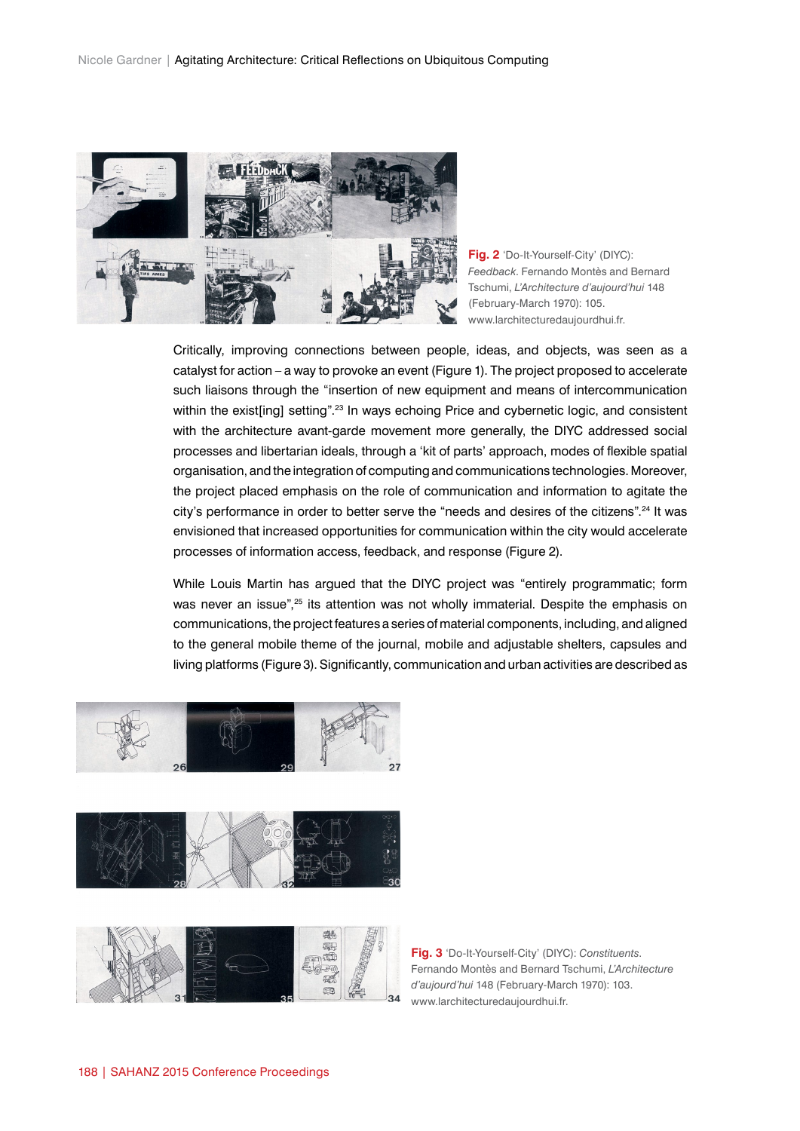

**Fig. 2** 'Do-It-Yourself-City' (DIYC): *Feedback*. Fernando Montès and Bernard Tschumi, *L'Architecture d'aujourd'hui* 148 (February-March 1970): 105. www.larchitecturedaujourdhui.fr.

Critically, improving connections between people, ideas, and objects, was seen as a catalyst for action – a way to provoke an event (Figure 1). The project proposed to accelerate such liaisons through the "insertion of new equipment and means of intercommunication within the exist[ing] setting".<sup>23</sup> In ways echoing Price and cybernetic logic, and consistent with the architecture avant-garde movement more generally, the DIYC addressed social processes and libertarian ideals, through a 'kit of parts' approach, modes of flexible spatial organisation, and the integration of computing and communications technologies. Moreover, the project placed emphasis on the role of communication and information to agitate the city's performance in order to better serve the "needs and desires of the citizens".24 It was envisioned that increased opportunities for communication within the city would accelerate processes of information access, feedback, and response (Figure 2).

While Louis Martin has argued that the DIYC project was "entirely programmatic; form was never an issue",<sup>25</sup> its attention was not wholly immaterial. Despite the emphasis on communications, the project features a series of material components, including, and aligned to the general mobile theme of the journal, mobile and adjustable shelters, capsules and living platforms (Figure 3). Significantly, communication and urban activities are described as





**Fig. 3** 'Do-It-Yourself-City' (DIYC): *Constituents*. Fernando Montès and Bernard Tschumi, *L'Architecture d'aujourd'hui* 148 (February-March 1970): 103. www.larchitecturedaujourdhui.fr.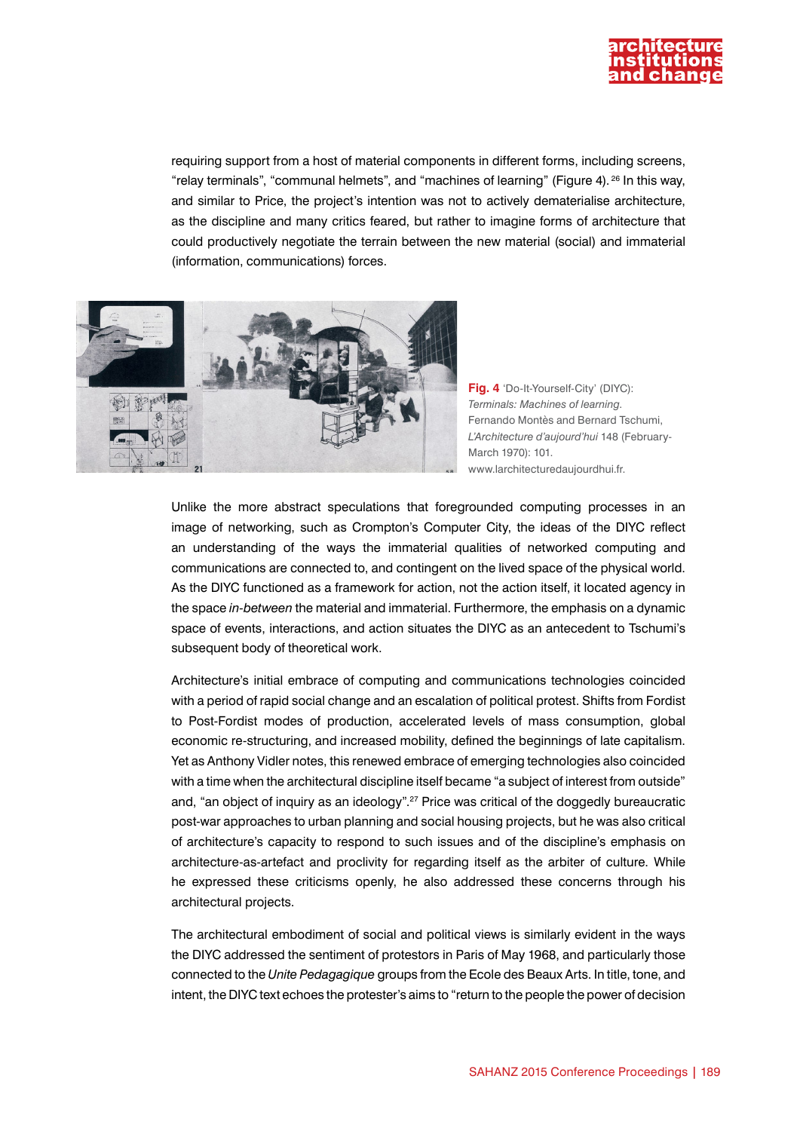

requiring support from a host of material components in different forms, including screens, "relay terminals", "communal helmets", and "machines of learning" (Figure 4). 26 In this way, and similar to Price, the project's intention was not to actively dematerialise architecture, as the discipline and many critics feared, but rather to imagine forms of architecture that could productively negotiate the terrain between the new material (social) and immaterial (information, communications) forces.



**Fig. 4** 'Do-It-Yourself-City' (DIYC): *Terminals: Machines of learning*. Fernando Montès and Bernard Tschumi, *L'Architecture d'aujourd'hui* 148 (February-March 1970): 101. www.larchitecturedaujourdhui.fr.

Unlike the more abstract speculations that foregrounded computing processes in an image of networking, such as Crompton's Computer City, the ideas of the DIYC reflect an understanding of the ways the immaterial qualities of networked computing and communications are connected to, and contingent on the lived space of the physical world. As the DIYC functioned as a framework for action, not the action itself, it located agency in the space *in-between* the material and immaterial. Furthermore, the emphasis on a dynamic space of events, interactions, and action situates the DIYC as an antecedent to Tschumi's subsequent body of theoretical work.

Architecture's initial embrace of computing and communications technologies coincided with a period of rapid social change and an escalation of political protest. Shifts from Fordist to Post-Fordist modes of production, accelerated levels of mass consumption, global economic re-structuring, and increased mobility, defined the beginnings of late capitalism. Yet as Anthony Vidler notes, this renewed embrace of emerging technologies also coincided with a time when the architectural discipline itself became "a subject of interest from outside" and, "an object of inquiry as an ideology".<sup>27</sup> Price was critical of the doggedly bureaucratic post-war approaches to urban planning and social housing projects, but he was also critical of architecture's capacity to respond to such issues and of the discipline's emphasis on architecture-as-artefact and proclivity for regarding itself as the arbiter of culture. While he expressed these criticisms openly, he also addressed these concerns through his architectural projects.

The architectural embodiment of social and political views is similarly evident in the ways the DIYC addressed the sentiment of protestors in Paris of May 1968, and particularly those connected to the *Unite Pedagagique* groups from the Ecole des Beaux Arts. In title, tone, and intent, the DIYC text echoes the protester's aims to "return to the people the power of decision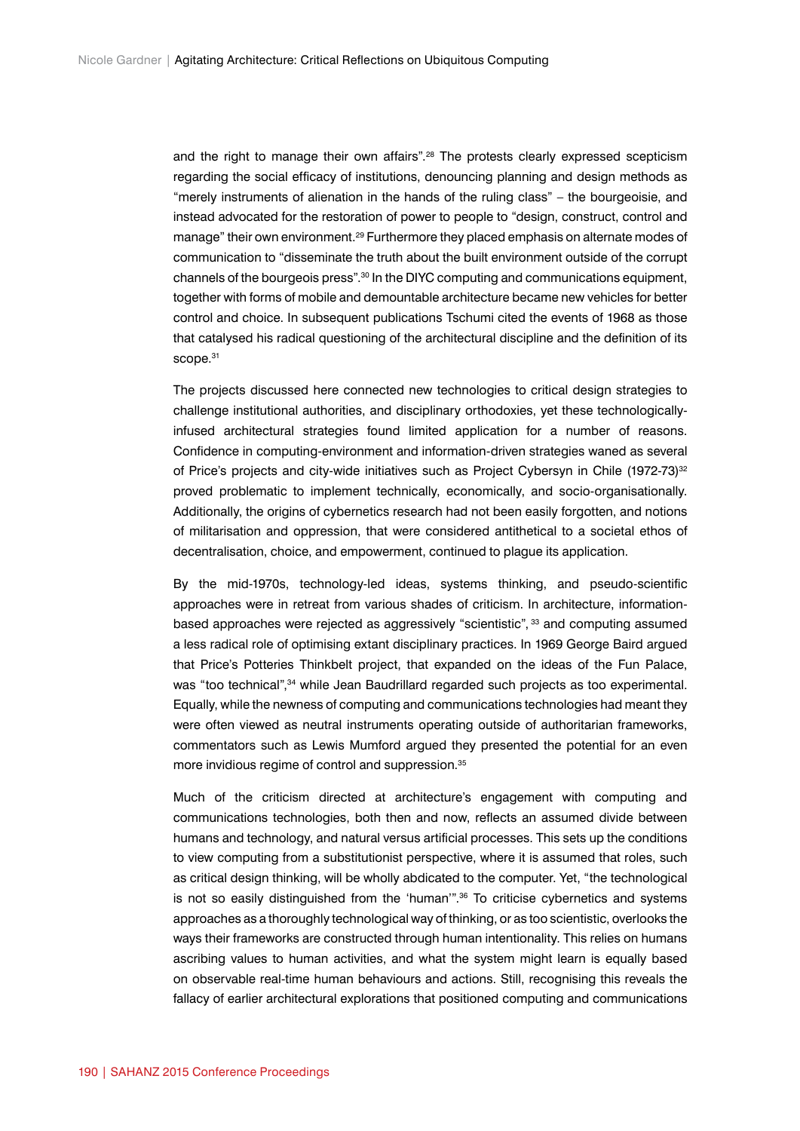and the right to manage their own affairs".28 The protests clearly expressed scepticism regarding the social efficacy of institutions, denouncing planning and design methods as "merely instruments of alienation in the hands of the ruling class" – the bourgeoisie, and instead advocated for the restoration of power to people to "design, construct, control and manage" their own environment.29 Furthermore they placed emphasis on alternate modes of communication to "disseminate the truth about the built environment outside of the corrupt channels of the bourgeois press".30 In the DIYC computing and communications equipment, together with forms of mobile and demountable architecture became new vehicles for better control and choice. In subsequent publications Tschumi cited the events of 1968 as those that catalysed his radical questioning of the architectural discipline and the definition of its scope.<sup>31</sup>

The projects discussed here connected new technologies to critical design strategies to challenge institutional authorities, and disciplinary orthodoxies, yet these technologicallyinfused architectural strategies found limited application for a number of reasons. Confidence in computing-environment and information-driven strategies waned as several of Price's projects and city-wide initiatives such as Project Cybersyn in Chile (1972-73)<sup>32</sup> proved problematic to implement technically, economically, and socio-organisationally. Additionally, the origins of cybernetics research had not been easily forgotten, and notions of militarisation and oppression, that were considered antithetical to a societal ethos of decentralisation, choice, and empowerment, continued to plague its application.

By the mid-1970s, technology-led ideas, systems thinking, and pseudo-scientific approaches were in retreat from various shades of criticism. In architecture, informationbased approaches were rejected as aggressively "scientistic", 33 and computing assumed a less radical role of optimising extant disciplinary practices. In 1969 George Baird argued that Price's Potteries Thinkbelt project, that expanded on the ideas of the Fun Palace, was "too technical",<sup>34</sup> while Jean Baudrillard regarded such projects as too experimental. Equally, while the newness of computing and communications technologies had meant they were often viewed as neutral instruments operating outside of authoritarian frameworks, commentators such as Lewis Mumford argued they presented the potential for an even more invidious regime of control and suppression.<sup>35</sup>

Much of the criticism directed at architecture's engagement with computing and communications technologies, both then and now, reflects an assumed divide between humans and technology, and natural versus artificial processes. This sets up the conditions to view computing from a substitutionist perspective, where it is assumed that roles, such as critical design thinking, will be wholly abdicated to the computer. Yet, "the technological is not so easily distinguished from the 'human'".<sup>36</sup> To criticise cybernetics and systems approaches as a thoroughly technological way of thinking, or as too scientistic, overlooks the ways their frameworks are constructed through human intentionality. This relies on humans ascribing values to human activities, and what the system might learn is equally based on observable real-time human behaviours and actions. Still, recognising this reveals the fallacy of earlier architectural explorations that positioned computing and communications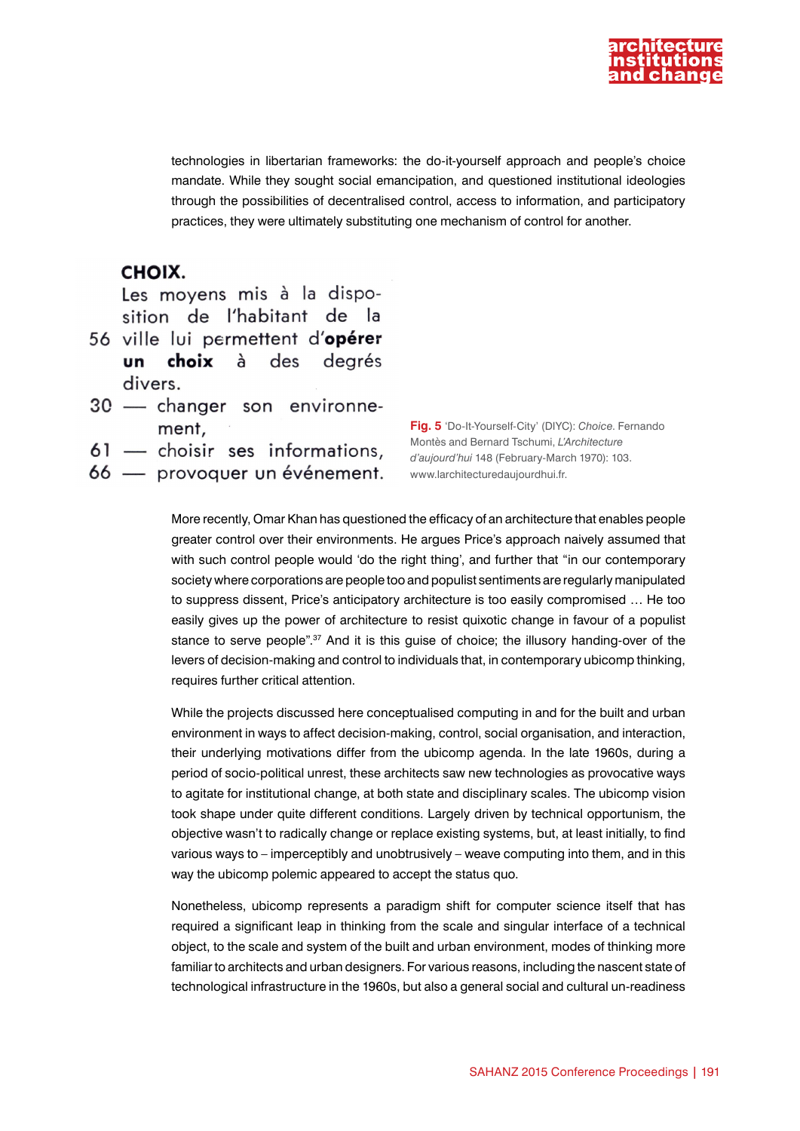

technologies in libertarian frameworks: the do-it-yourself approach and people's choice mandate. While they sought social emancipation, and questioned institutional ideologies through the possibilities of decentralised control, access to information, and participatory practices, they were ultimately substituting one mechanism of control for another.

### CHOIX.

Les movens mis à la disposition de l'habitant de la

- 56 ville lui permettent d'opérer un choix à des degrés divers.
- 30 changer son environnement,
- 61 choisir ses informations,
- 66 provoquer un événement.

**Fig. 5** 'Do-It-Yourself-City' (DIYC): *Choice*. Fernando Montès and Bernard Tschumi, *L'Architecture d'aujourd'hui* 148 (February-March 1970): 103. www.larchitecturedaujourdhui.fr.

More recently, Omar Khan has questioned the efficacy of an architecture that enables people greater control over their environments. He argues Price's approach naively assumed that with such control people would 'do the right thing', and further that "in our contemporary society where corporations are people too and populist sentiments are regularly manipulated to suppress dissent, Price's anticipatory architecture is too easily compromised … He too easily gives up the power of architecture to resist quixotic change in favour of a populist stance to serve people".<sup>37</sup> And it is this quise of choice; the illusory handing-over of the levers of decision-making and control to individuals that, in contemporary ubicomp thinking, requires further critical attention.

While the projects discussed here conceptualised computing in and for the built and urban environment in ways to affect decision-making, control, social organisation, and interaction, their underlying motivations differ from the ubicomp agenda. In the late 1960s, during a period of socio-political unrest, these architects saw new technologies as provocative ways to agitate for institutional change, at both state and disciplinary scales. The ubicomp vision took shape under quite different conditions. Largely driven by technical opportunism, the objective wasn't to radically change or replace existing systems, but, at least initially, to find various ways to – imperceptibly and unobtrusively – weave computing into them, and in this way the ubicomp polemic appeared to accept the status quo.

Nonetheless, ubicomp represents a paradigm shift for computer science itself that has required a significant leap in thinking from the scale and singular interface of a technical object, to the scale and system of the built and urban environment, modes of thinking more familiar to architects and urban designers. For various reasons, including the nascent state of technological infrastructure in the 1960s, but also a general social and cultural un-readiness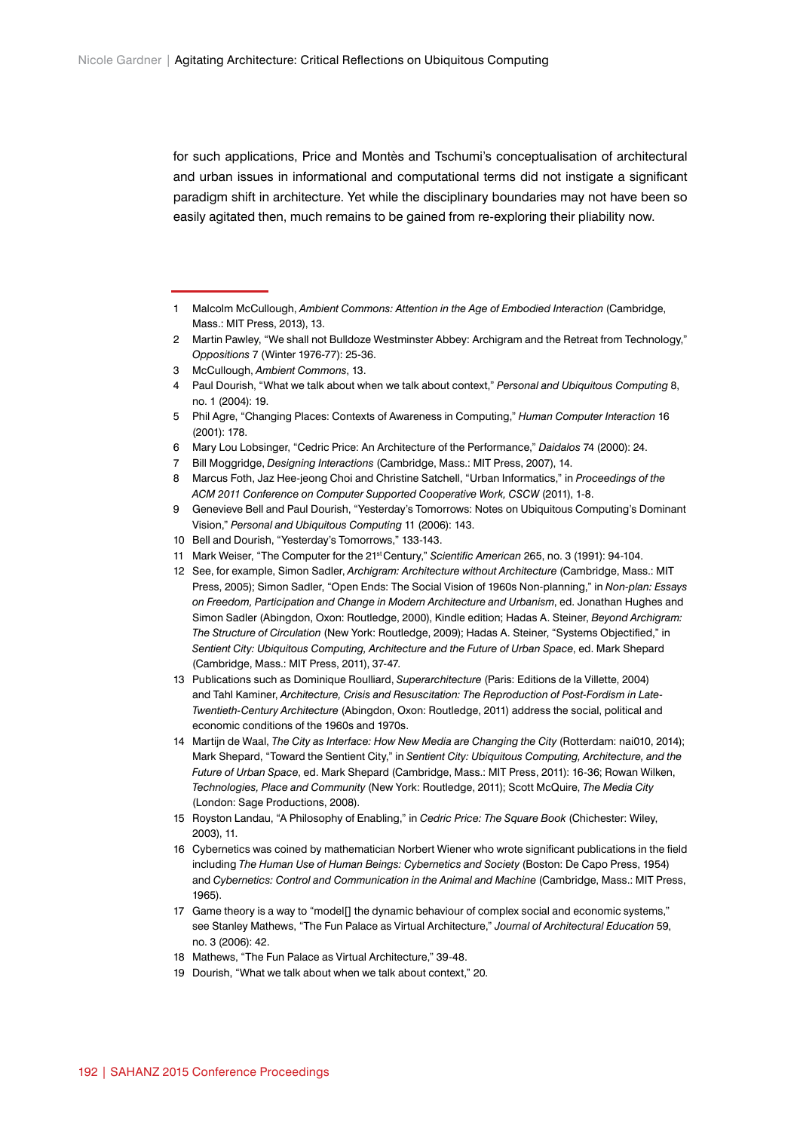for such applications, Price and Montès and Tschumi's conceptualisation of architectural and urban issues in informational and computational terms did not instigate a significant paradigm shift in architecture. Yet while the disciplinary boundaries may not have been so easily agitated then, much remains to be gained from re-exploring their pliability now.

6 Mary Lou Lobsinger, "Cedric Price: An Architecture of the Performance," *Daidalos* 74 (2000): 24.

8 Marcus Foth, Jaz Hee-jeong Choi and Christine Satchell, "Urban Informatics," in *Proceedings of the ACM 2011 Conference on Computer Supported Cooperative Work, CSCW* (2011), 1-8.

<sup>1</sup> Malcolm McCullough, *Ambient Commons: Attention in the Age of Embodied Interaction* (Cambridge, Mass.: MIT Press, 2013), 13.

<sup>2</sup> Martin Pawley, "We shall not Bulldoze Westminster Abbey: Archigram and the Retreat from Technology," *Oppositions* 7 (Winter 1976-77): 25-36.

<sup>3</sup> McCullough, *Ambient Commons*, 13.

<sup>4</sup> Paul Dourish, "What we talk about when we talk about context," *Personal and Ubiquitous Computing* 8, no. 1 (2004): 19.

<sup>5</sup> Phil Agre, "Changing Places: Contexts of Awareness in Computing," *Human Computer Interaction* 16 (2001): 178.

<sup>7</sup> Bill Moggridge, *Designing Interactions* (Cambridge, Mass.: MIT Press, 2007), 14.

<sup>9</sup> Genevieve Bell and Paul Dourish, "Yesterday's Tomorrows: Notes on Ubiquitous Computing's Dominant Vision," *Personal and Ubiquitous Computing* 11 (2006): 143.

<sup>10</sup> Bell and Dourish, "Yesterday's Tomorrows," 133-143.

<sup>11</sup> Mark Weiser, "The Computer for the 21st Century," *Scientific American* 265, no. 3 (1991): 94-104.

<sup>12</sup> See, for example, Simon Sadler, *Archigram: Architecture without Architecture* (Cambridge, Mass.: MIT Press, 2005); Simon Sadler, "Open Ends: The Social Vision of 1960s Non-planning," in *Non-plan: Essays on Freedom, Participation and Change in Modern Architecture and Urbanism*, ed. Jonathan Hughes and Simon Sadler (Abingdon, Oxon: Routledge, 2000), Kindle edition; Hadas A. Steiner, *Beyond Archigram: The Structure of Circulation* (New York: Routledge, 2009); Hadas A. Steiner, "Systems Objectified," in *Sentient City: Ubiquitous Computing, Architecture and the Future of Urban Space*, ed. Mark Shepard (Cambridge, Mass.: MIT Press, 2011), 37-47.

<sup>13</sup> Publications such as Dominique Roulliard, *Superarchitecture* (Paris: Editions de la Villette, 2004) and Tahl Kaminer, *Architecture, Crisis and Resuscitation: The Reproduction of Post-Fordism in Late-Twentieth-Century Architecture* (Abingdon, Oxon: Routledge, 2011) address the social, political and economic conditions of the 1960s and 1970s.

<sup>14</sup> Martijn de Waal, *The City as Interface: How New Media are Changing the City* (Rotterdam: nai010, 2014); Mark Shepard, "Toward the Sentient City," in *Sentient City: Ubiquitous Computing, Architecture, and the Future of Urban Space*, ed. Mark Shepard (Cambridge, Mass.: MIT Press, 2011): 16-36; Rowan Wilken, *Technologies, Place and Community* (New York: Routledge, 2011); Scott McQuire, *The Media City* (London: Sage Productions, 2008).

<sup>15</sup> Royston Landau, "A Philosophy of Enabling," in *Cedric Price: The Square Book* (Chichester: Wiley, 2003), 11.

<sup>16</sup> Cybernetics was coined by mathematician Norbert Wiener who wrote significant publications in the field including *The Human Use of Human Beings: Cybernetics and Society* (Boston: De Capo Press, 1954) and *Cybernetics: Control and Communication in the Animal and Machine* (Cambridge, Mass.: MIT Press, 1965).

<sup>17</sup> Game theory is a way to "model[] the dynamic behaviour of complex social and economic systems," see Stanley Mathews, "The Fun Palace as Virtual Architecture," *Journal of Architectural Education* 59, no. 3 (2006): 42.

<sup>18</sup> Mathews, "The Fun Palace as Virtual Architecture," 39-48.

<sup>19</sup> Dourish, "What we talk about when we talk about context," 20.